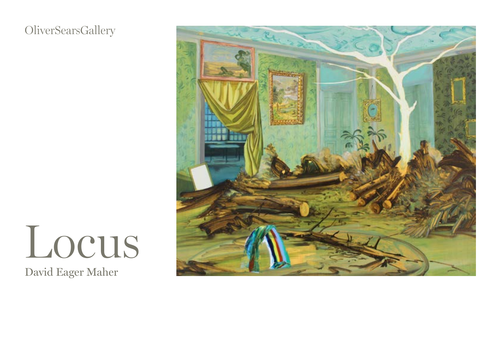#### **OliverSearsGallery**

# David Eager Maher Locus

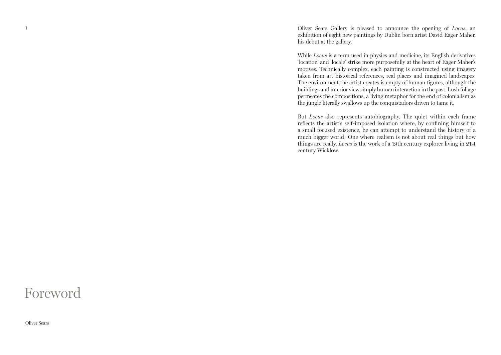Oliver Sears Gallery is pleased to announce the opening of *Locus*, an exhibition of eight new paintings by Dublin born artist David Eager Maher, his debut at the gallery.

While *Locus* is a term used in physics and medicine, its English derivatives 'location' and 'locale' strike more purposefully at the heart of Eager Maher's motives. Technically complex, each painting is constructed using imagery taken from art historical references, real places and imagined landscapes. The environment the artist creates is empty of human figures, although the buildings and interior views imply human interaction in the past. Lush foliage permeates the compositions, a living metaphor for the end of colonialism as the jungle literally swallows up the conquistadors driven to tame it.

But *Locus* also represents autobiography. The quiet within each frame reflects the artist's self-imposed isolation where, by confining himself to a small focused existence, he can attempt to understand the history of a much bigger world; One where realism is not about real things but how things are really. *Locus* is the work of a 19th century explorer living in 21st century Wicklow.

#### Foreword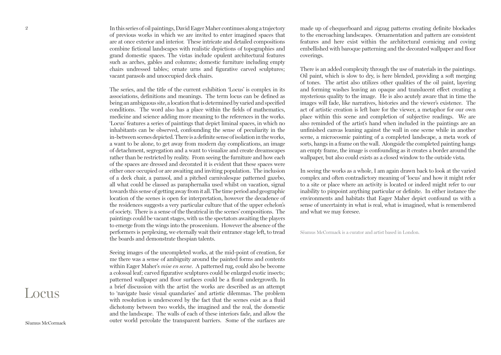In this series of oil paintings, David Eager Maher continues along a trajectory of previous works in which we are invited to enter imagined spaces that are at once exterior and interior. These intricate and detailed compositions combine fictional landscapes with realistic depictions of topographies and grand domestic spaces. The vistas include opulent architectural features such as arches, gables and columns; domestic furniture including empty chairs undressed tables; ornate urns and figurative carved sculptures; vacant parasols and unoccupied deck chairs.

The series, and the title of the current exhibition 'Locus' is complex in its associations, definitions and meanings. The term locus can be defined as being an ambiguous site, a location that is determined by varied and specified conditions. The word also has a place within the fields of mathematics, medicine and science adding more meaning to the references in the works. 'Locus' features a series of paintings that depict liminal spaces, in which no inhabitants can be observed, confounding the sense of peculiarity in the in-between scenes depicted. There is a definite sense of isolation in the works, a want to be alone, to get away from modern day complications, an image of detachment, segregation and a want to visualize and create dreamscapes rather than be restricted by reality. From seeing the furniture and how each of the spaces are dressed and decorated it is evident that these spaces were either once occupied or are awaiting and inviting population. The inclusion of a deck chair, a parasol, and a pitched carnivalesque patterned gazebo, all what could be classed as paraphernalia used whilst on vacation, signal towards this sense of getting away from it all. The time period and geographic location of the scenes is open for interpretation, however the decadence of the residences suggests a very particular culture that of the upper echelon's of society. There is a sense of the theatrical in the scenes' compositions. The paintings could be vacant stages, with us the spectators awaiting the players to emerge from the wings into the proscenium. However the absence of the performers is perplexing, we eternally wait their entrance stage left, to tread the boards and demonstrate thespian talents.

Seeing images of the uncompleted works, at the mid-point of creation, for me there was a sense of ambiguity around the painted forms and contents within Eager Maher's *mise en scene*. A patterned rug, could also be become a colossal leaf; carved figurative sculptures could be enlarged exotic insects; patterned wallpaper and floor surfaces could be a floral undergrowth. In a brief discussion with the artist the works are described as an attempt to 'navigate basic visual quandaries' and artistic dilemmas. The problem with resolution is underscored by the fact that the scenes exist as a fluid dichotomy between two worlds, the imagined and the real, the domestic and the landscape. The walls of each of these interiors fade, and allow the outer world percolate the transparent barriers. Some of the surfaces are made up of chequerboard and zigzag patterns creating definite blockades to the encroaching landscapes. Ornamentation and pattern are consistent features and here exist within the architectural cornicing and coving embellished with baroque patterning and the decorated wallpaper and floor coverings.

There is an added complexity through the use of materials in the paintings. Oil paint, which is slow to dry, is here blended, providing a soft merging of tones. The artist also utilizes other qualities of the oil paint, layering and forming washes leaving an opaque and translucent effect creating a mysterious quality to the image. He is also acutely aware that in time the images will fade, like narratives, histories and the viewer's existence. The act of artistic creation is left bare for the viewer, a metaphor for our own place within this scene and completion of subjective readings. We are also reminded of the artist's hand when included in the paintings are an unfinished canvas leaning against the wall in one scene while in another scene, a microcosmic painting of a completed landscape, a meta work of sorts, hangs in a frame on the wall. Alongside the completed painting hangs an empty frame, the image is confounding as it creates a border around the wallpaper, but also could exists as a closed window to the outside vista.

In seeing the works as a whole, I am again drawn back to look at the varied complex and often contradictory meaning of 'locus' and how it might refer to a site or place where an activity is located or indeed might refer to our inability to pinpoint anything particular or definite. In either instance the environments and habitats that Eager Maher depict confound us with a sense of uncertainty in what is real, what is imagined, what is remembered and what we may foresee.

Séamus McCormack is a curator and artist based in London.

# Locus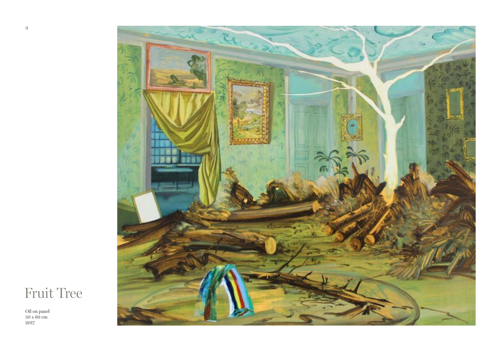

### Fruit Tree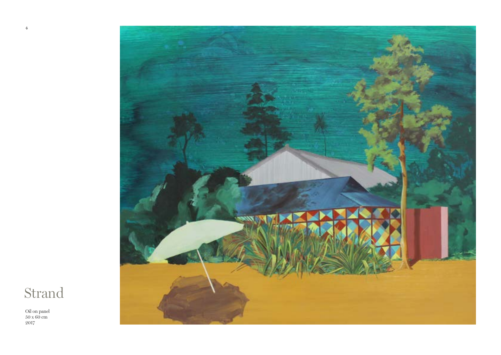

## Strand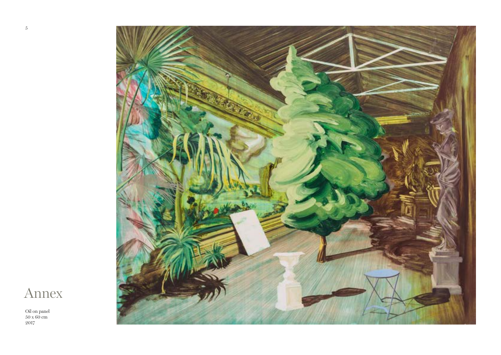

Annex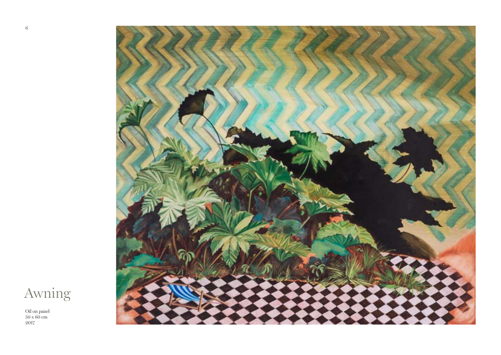

Awning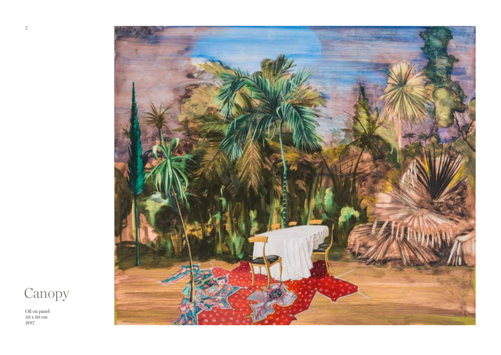

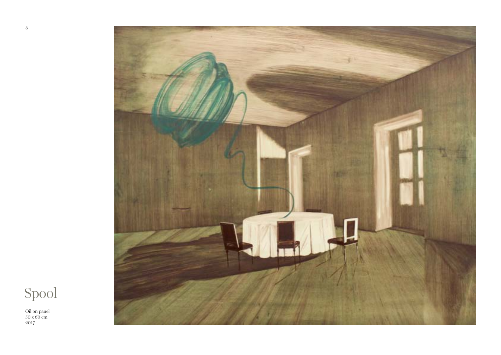

Spool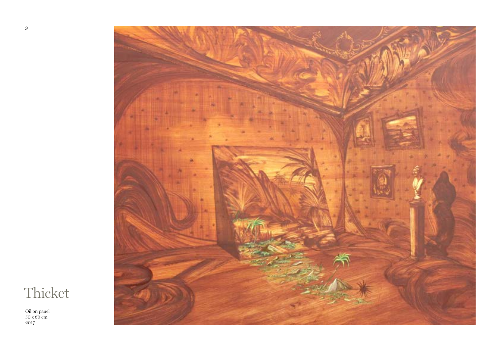

Thicket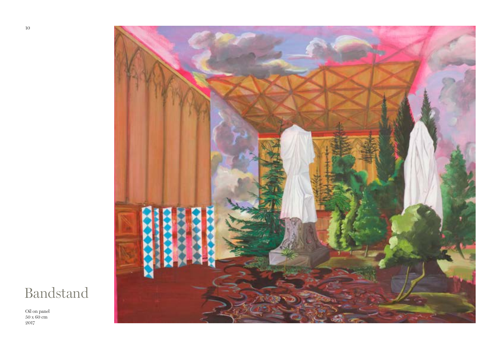

### Bandstand